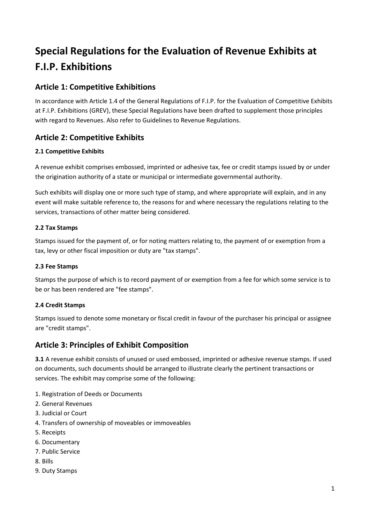# Special Regulations for the Evaluation of Revenue Exhibits at F.I.P. Exhibitions

# Article 1: Competitive Exhibitions

In accordance with Article 1.4 of the General Regulations of F.I.P. for the Evaluation of Competitive Exhibits at F.I.P. Exhibitions (GREV), these Special Regulations have been drafted to supplement those principles with regard to Revenues. Also refer to Guidelines to Revenue Regulations.

# Article 2: Competitive Exhibits

#### 2.1 Competitive Exhibits

A revenue exhibit comprises embossed, imprinted or adhesive tax, fee or credit stamps issued by or under the origination authority of a state or municipal or intermediate governmental authority.

Such exhibits will display one or more such type of stamp, and where appropriate will explain, and in any event will make suitable reference to, the reasons for and where necessary the regulations relating to the services, transactions of other matter being considered.

#### 2.2 Tax Stamps

Stamps issued for the payment of, or for noting matters relating to, the payment of or exemption from a tax, levy or other fiscal imposition or duty are "tax stamps".

#### 2.3 Fee Stamps

Stamps the purpose of which is to record payment of or exemption from a fee for which some service is to be or has been rendered are "fee stamps".

#### 2.4 Credit Stamps

Stamps issued to denote some monetary or fiscal credit in favour of the purchaser his principal or assignee are "credit stamps".

## Article 3: Principles of Exhibit Composition

3.1 A revenue exhibit consists of unused or used embossed, imprinted or adhesive revenue stamps. If used on documents, such documents should be arranged to illustrate clearly the pertinent transactions or services. The exhibit may comprise some of the following:

- 1. Registration of Deeds or Documents
- 2. General Revenues
- 3. Judicial or Court
- 4. Transfers of ownership of moveables or immoveables
- 5. Receipts
- 6. Documentary
- 7. Public Service
- 8. Bills
- 9. Duty Stamps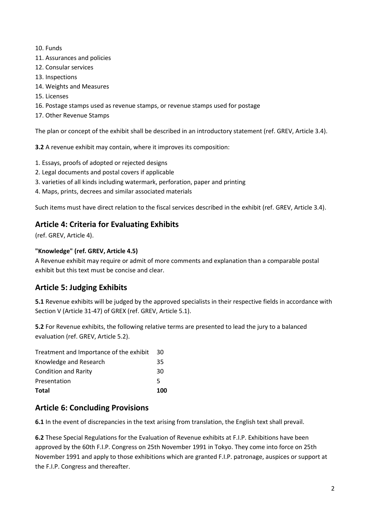- 10. Funds
- 11. Assurances and policies
- 12. Consular services
- 13. Inspections
- 14. Weights and Measures
- 15. Licenses
- 16. Postage stamps used as revenue stamps, or revenue stamps used for postage
- 17. Other Revenue Stamps

The plan or concept of the exhibit shall be described in an introductory statement (ref. GREV, Article 3.4).

3.2 A revenue exhibit may contain, where it improves its composition:

- 1. Essays, proofs of adopted or rejected designs
- 2. Legal documents and postal covers if applicable
- 3. varieties of all kinds including watermark, perforation, paper and printing
- 4. Maps, prints, decrees and similar associated materials

Such items must have direct relation to the fiscal services described in the exhibit (ref. GREV, Article 3.4).

# Article 4: Criteria for Evaluating Exhibits

(ref. GREV, Article 4).

#### "Knowledge" (ref. GREV, Article 4.5)

A Revenue exhibit may require or admit of more comments and explanation than a comparable postal exhibit but this text must be concise and clear.

# Article 5: Judging Exhibits

5.1 Revenue exhibits will be judged by the approved specialists in their respective fields in accordance with Section V (Article 31-47) of GREX (ref. GREV, Article 5.1).

5.2 For Revenue exhibits, the following relative terms are presented to lead the jury to a balanced evaluation (ref. GREV, Article 5.2).

| Total                                   | 100 |
|-----------------------------------------|-----|
| Presentation                            | 5   |
| <b>Condition and Rarity</b>             | 30  |
| Knowledge and Research                  | 35  |
| Treatment and Importance of the exhibit | 30  |

# Article 6: Concluding Provisions

6.1 In the event of discrepancies in the text arising from translation, the English text shall prevail.

6.2 These Special Regulations for the Evaluation of Revenue exhibits at F.I.P. Exhibitions have been approved by the 60th F.I.P. Congress on 25th November 1991 in Tokyo. They come into force on 25th November 1991 and apply to those exhibitions which are granted F.I.P. patronage, auspices or support at the F.I.P. Congress and thereafter.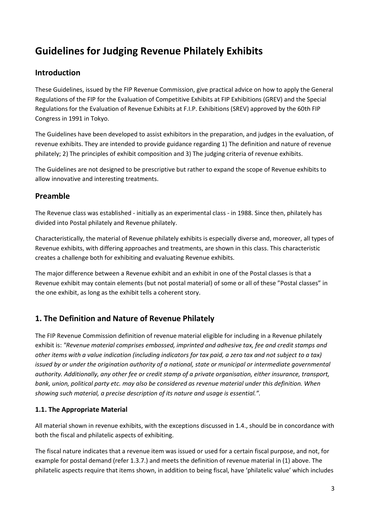# Guidelines for Judging Revenue Philately Exhibits

# Introduction

These Guidelines, issued by the FIP Revenue Commission, give practical advice on how to apply the General Regulations of the FIP for the Evaluation of Competitive Exhibits at FIP Exhibitions (GREV) and the Special Regulations for the Evaluation of Revenue Exhibits at F.I.P. Exhibitions (SREV) approved by the 60th FIP Congress in 1991 in Tokyo.

The Guidelines have been developed to assist exhibitors in the preparation, and judges in the evaluation, of revenue exhibits. They are intended to provide guidance regarding 1) The definition and nature of revenue philately; 2) The principles of exhibit composition and 3) The judging criteria of revenue exhibits.

The Guidelines are not designed to be prescriptive but rather to expand the scope of Revenue exhibits to allow innovative and interesting treatments.

# Preamble

The Revenue class was established - initially as an experimental class - in 1988. Since then, philately has divided into Postal philately and Revenue philately.

Characteristically, the material of Revenue philately exhibits is especially diverse and, moreover, all types of Revenue exhibits, with differing approaches and treatments, are shown in this class. This characteristic creates a challenge both for exhibiting and evaluating Revenue exhibits.

The major difference between a Revenue exhibit and an exhibit in one of the Postal classes is that a Revenue exhibit may contain elements (but not postal material) of some or all of these "Postal classes" in the one exhibit, as long as the exhibit tells a coherent story.

# 1. The Definition and Nature of Revenue Philately

The FIP Revenue Commission definition of revenue material eligible for including in a Revenue philately exhibit is: "Revenue material comprises embossed, imprinted and adhesive tax, fee and credit stamps and other items with a value indication (including indicators for tax paid, a zero tax and not subject to a tax) issued by or under the origination authority of a national, state or municipal or intermediate governmental authority. Additionally, any other fee or credit stamp of a private organisation, either insurance, transport, bank, union, political party etc. may also be considered as revenue material under this definition. When showing such material, a precise description of its nature and usage is essential.".

## 1.1. The Appropriate Material

All material shown in revenue exhibits, with the exceptions discussed in 1.4., should be in concordance with both the fiscal and philatelic aspects of exhibiting.

The fiscal nature indicates that a revenue item was issued or used for a certain fiscal purpose, and not, for example for postal demand (refer 1.3.7.) and meets the definition of revenue material in (1) above. The philatelic aspects require that items shown, in addition to being fiscal, have 'philatelic value' which includes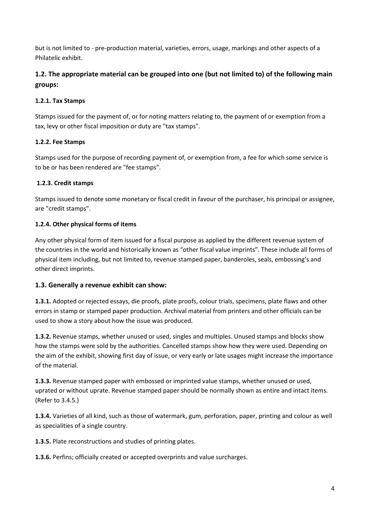but is not limited to - pre-production material, varieties, errors, usage, markings and other aspects of a Philatelic exhibit.

## 1.2. The appropriate material can be grouped into one (but not limited to) of the following main groups:

#### 1.2.1. Tax Stamps

Stamps issued for the payment of, or for noting matters relating to, the payment of or exemption from a tax, levy or other fiscal imposition or duty are "tax stamps".

#### 1.2.2. Fee Stamps

Stamps used for the purpose of recording payment of, or exemption from, a fee for which some service is to be or has been rendered are "fee stamps".

#### 1.2.3. Credit stamps

Stamps issued to denote some monetary or fiscal credit in favour of the purchaser, his principal or assignee, are "credit stamps".

#### 1.2.4. Other physical forms of items

Any other physical form of item issued for a fiscal purpose as applied by the different revenue system of the countries in the world and historically known as "other fiscal value imprints". These include all forms of physical item including, but not limited to, revenue stamped paper, banderoles, seals, embossing's and other direct imprints.

#### 1.3. Generally a revenue exhibit can show:

1.3.1. Adopted or rejected essays, die proofs, plate proofs, colour trials, specimens, plate flaws and other errors in stamp or stamped paper production. Archival material from printers and other officials can be used to show a story about how the issue was produced.

1.3.2. Revenue stamps, whether unused or used, singles and multiples. Unused stamps and blocks show how the stamps were sold by the authorities. Cancelled stamps show how they were used. Depending on the aim of the exhibit, showing first day of issue, or very early or late usages might increase the importance of the material.

1.3.3. Revenue stamped paper with embossed or imprinted value stamps, whether unused or used, uprated or without uprate. Revenue stamped paper should be normally shown as entire and intact items. (Refer to 3.4.5.)

1.3.4. Varieties of all kind, such as those of watermark, gum, perforation, paper, printing and colour as well as specialities of a single country.

1.3.5. Plate reconstructions and studies of printing plates.

1.3.6. Perfins; officially created or accepted overprints and value surcharges.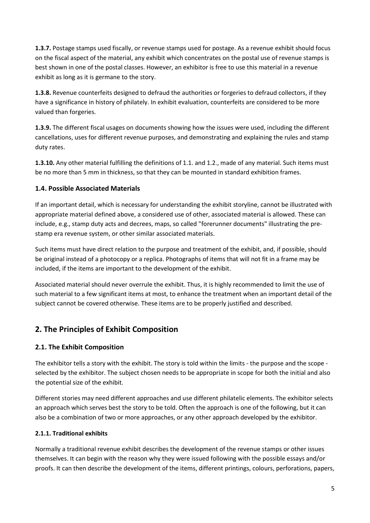1.3.7. Postage stamps used fiscally, or revenue stamps used for postage. As a revenue exhibit should focus on the fiscal aspect of the material, any exhibit which concentrates on the postal use of revenue stamps is best shown in one of the postal classes. However, an exhibitor is free to use this material in a revenue exhibit as long as it is germane to the story.

1.3.8. Revenue counterfeits designed to defraud the authorities or forgeries to defraud collectors, if they have a significance in history of philately. In exhibit evaluation, counterfeits are considered to be more valued than forgeries.

1.3.9. The different fiscal usages on documents showing how the issues were used, including the different cancellations, uses for different revenue purposes, and demonstrating and explaining the rules and stamp duty rates.

1.3.10. Any other material fulfilling the definitions of 1.1. and 1.2., made of any material. Such items must be no more than 5 mm in thickness, so that they can be mounted in standard exhibition frames.

#### 1.4. Possible Associated Materials

If an important detail, which is necessary for understanding the exhibit storyline, cannot be illustrated with appropriate material defined above, a considered use of other, associated material is allowed. These can include, e.g., stamp duty acts and decrees, maps, so called "forerunner documents" illustrating the prestamp era revenue system, or other similar associated materials.

Such items must have direct relation to the purpose and treatment of the exhibit, and, if possible, should be original instead of a photocopy or a replica. Photographs of items that will not fit in a frame may be included, if the items are important to the development of the exhibit.

Associated material should never overrule the exhibit. Thus, it is highly recommended to limit the use of such material to a few significant items at most, to enhance the treatment when an important detail of the subject cannot be covered otherwise. These items are to be properly justified and described.

# 2. The Principles of Exhibit Composition

#### 2.1. The Exhibit Composition

The exhibitor tells a story with the exhibit. The story is told within the limits - the purpose and the scope selected by the exhibitor. The subject chosen needs to be appropriate in scope for both the initial and also the potential size of the exhibit.

Different stories may need different approaches and use different philatelic elements. The exhibitor selects an approach which serves best the story to be told. Often the approach is one of the following, but it can also be a combination of two or more approaches, or any other approach developed by the exhibitor.

#### 2.1.1. Traditional exhibits

Normally a traditional revenue exhibit describes the development of the revenue stamps or other issues themselves. It can begin with the reason why they were issued following with the possible essays and/or proofs. It can then describe the development of the items, different printings, colours, perforations, papers,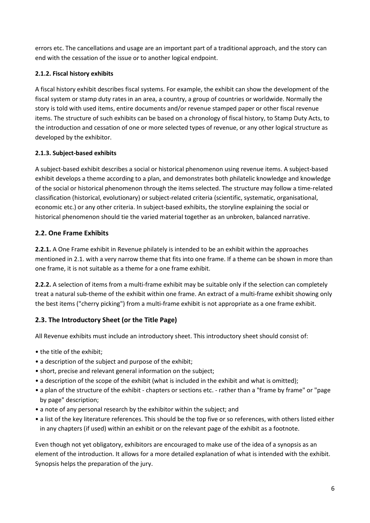errors etc. The cancellations and usage are an important part of a traditional approach, and the story can end with the cessation of the issue or to another logical endpoint.

#### 2.1.2. Fiscal history exhibits

A fiscal history exhibit describes fiscal systems. For example, the exhibit can show the development of the fiscal system or stamp duty rates in an area, a country, a group of countries or worldwide. Normally the story is told with used items, entire documents and/or revenue stamped paper or other fiscal revenue items. The structure of such exhibits can be based on a chronology of fiscal history, to Stamp Duty Acts, to the introduction and cessation of one or more selected types of revenue, or any other logical structure as developed by the exhibitor.

#### 2.1.3. Subject-based exhibits

A subject-based exhibit describes a social or historical phenomenon using revenue items. A subject-based exhibit develops a theme according to a plan, and demonstrates both philatelic knowledge and knowledge of the social or historical phenomenon through the items selected. The structure may follow a time-related classification (historical, evolutionary) or subject-related criteria (scientific, systematic, organisational, economic etc.) or any other criteria. In subject-based exhibits, the storyline explaining the social or historical phenomenon should tie the varied material together as an unbroken, balanced narrative.

## 2.2. One Frame Exhibits

2.2.1. A One Frame exhibit in Revenue philately is intended to be an exhibit within the approaches mentioned in 2.1. with a very narrow theme that fits into one frame. If a theme can be shown in more than one frame, it is not suitable as a theme for a one frame exhibit.

2.2.2. A selection of items from a multi-frame exhibit may be suitable only if the selection can completely treat a natural sub-theme of the exhibit within one frame. An extract of a multi-frame exhibit showing only the best items ("cherry picking") from a multi-frame exhibit is not appropriate as a one frame exhibit.

## 2.3. The Introductory Sheet (or the Title Page)

All Revenue exhibits must include an introductory sheet. This introductory sheet should consist of:

- the title of the exhibit;
- a description of the subject and purpose of the exhibit;
- short, precise and relevant general information on the subject;
- a description of the scope of the exhibit (what is included in the exhibit and what is omitted);
- a plan of the structure of the exhibit chapters or sections etc. rather than a "frame by frame" or "page by page" description;
- a note of any personal research by the exhibitor within the subject; and
- a list of the key literature references. This should be the top five or so references, with others listed either in any chapters (if used) within an exhibit or on the relevant page of the exhibit as a footnote.

Even though not yet obligatory, exhibitors are encouraged to make use of the idea of a synopsis as an element of the introduction. It allows for a more detailed explanation of what is intended with the exhibit. Synopsis helps the preparation of the jury.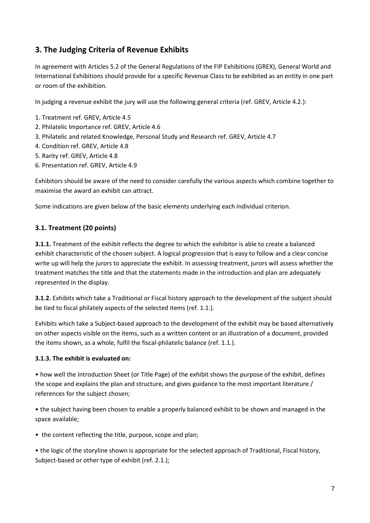# 3. The Judging Criteria of Revenue Exhibits

In agreement with Articles 5.2 of the General Regulations of the FIP Exhibitions (GREX), General World and International Exhibitions should provide for a specific Revenue Class to be exhibited as an entity in one part or room of the exhibition.

In judging a revenue exhibit the jury will use the following general criteria (ref. GREV, Article 4.2.):

- 1. Treatment ref. GREV, Article 4.5
- 2. Philatelic Importance ref. GREV, Article 4.6
- 3. Philatelic and related Knowledge, Personal Study and Research ref. GREV, Article 4.7
- 4. Condition ref. GREV, Article 4.8
- 5. Rarity ref. GREV, Article 4.8
- 6. Presentation ref. GREV, Article 4.9

Exhibitors should be aware of the need to consider carefully the various aspects which combine together to maximise the award an exhibit can attract.

Some indications are given below of the basic elements underlying each individual criterion.

#### 3.1. Treatment (20 points)

**3.1.1.** Treatment of the exhibit reflects the degree to which the exhibitor is able to create a balanced exhibit characteristic of the chosen subject. A logical progression that is easy to follow and a clear concise write up will help the jurors to appreciate the exhibit. In assessing treatment, jurors will assess whether the treatment matches the title and that the statements made in the introduction and plan are adequately represented in the display.

3.1.2. Exhibits which take a Traditional or Fiscal history approach to the development of the subject should be tied to fiscal philately aspects of the selected items (ref. 1.1.).

Exhibits which take a Subject-based approach to the development of the exhibit may be based alternatively on other aspects visible on the items, such as a written content or an illustration of a document, provided the items shown, as a whole, fulfil the fiscal-philatelic balance (ref. 1.1.).

#### 3.1.3. The exhibit is evaluated on:

• how well the Introduction Sheet (or Title Page) of the exhibit shows the purpose of the exhibit, defines the scope and explains the plan and structure, and gives guidance to the most important literature / references for the subject chosen;

• the subject having been chosen to enable a properly balanced exhibit to be shown and managed in the space available;

• the content reflecting the title, purpose, scope and plan;

• the logic of the storyline shown is appropriate for the selected approach of Traditional, Fiscal history, Subject-based or other type of exhibit (ref. 2.1.);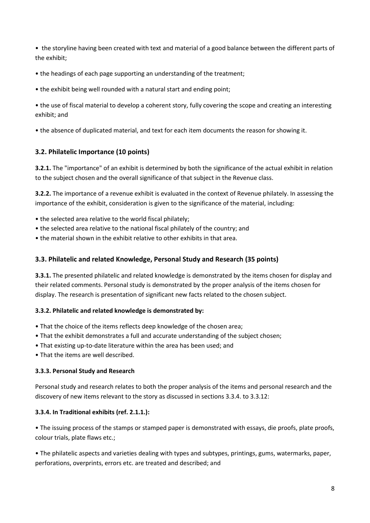• the storyline having been created with text and material of a good balance between the different parts of the exhibit;

• the headings of each page supporting an understanding of the treatment;

• the exhibit being well rounded with a natural start and ending point;

• the use of fiscal material to develop a coherent story, fully covering the scope and creating an interesting exhibit; and

• the absence of duplicated material, and text for each item documents the reason for showing it.

## 3.2. Philatelic Importance (10 points)

3.2.1. The "importance" of an exhibit is determined by both the significance of the actual exhibit in relation to the subject chosen and the overall significance of that subject in the Revenue class.

3.2.2. The importance of a revenue exhibit is evaluated in the context of Revenue philately. In assessing the importance of the exhibit, consideration is given to the significance of the material, including:

- the selected area relative to the world fiscal philately;
- the selected area relative to the national fiscal philately of the country; and
- the material shown in the exhibit relative to other exhibits in that area.

#### 3.3. Philatelic and related Knowledge, Personal Study and Research (35 points)

**3.3.1.** The presented philatelic and related knowledge is demonstrated by the items chosen for display and their related comments. Personal study is demonstrated by the proper analysis of the items chosen for display. The research is presentation of significant new facts related to the chosen subject.

#### 3.3.2. Philatelic and related knowledge is demonstrated by:

- That the choice of the items reflects deep knowledge of the chosen area;
- That the exhibit demonstrates a full and accurate understanding of the subject chosen;
- That existing up-to-date literature within the area has been used; and
- That the items are well described.

#### 3.3.3. Personal Study and Research

Personal study and research relates to both the proper analysis of the items and personal research and the discovery of new items relevant to the story as discussed in sections 3.3.4. to 3.3.12:

#### 3.3.4. In Traditional exhibits (ref. 2.1.1.):

• The issuing process of the stamps or stamped paper is demonstrated with essays, die proofs, plate proofs, colour trials, plate flaws etc.;

• The philatelic aspects and varieties dealing with types and subtypes, printings, gums, watermarks, paper, perforations, overprints, errors etc. are treated and described; and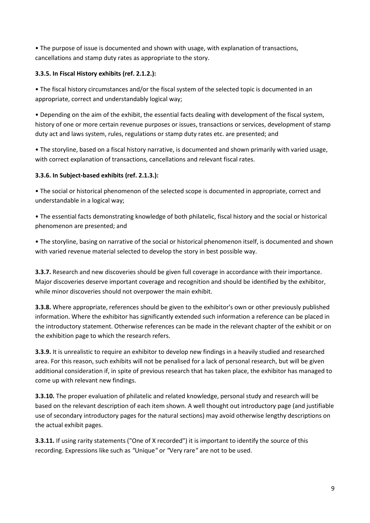• The purpose of issue is documented and shown with usage, with explanation of transactions, cancellations and stamp duty rates as appropriate to the story.

#### 3.3.5. In Fiscal History exhibits (ref. 2.1.2.):

• The fiscal history circumstances and/or the fiscal system of the selected topic is documented in an appropriate, correct and understandably logical way;

• Depending on the aim of the exhibit, the essential facts dealing with development of the fiscal system, history of one or more certain revenue purposes or issues, transactions or services, development of stamp duty act and laws system, rules, regulations or stamp duty rates etc. are presented; and

• The storyline, based on a fiscal history narrative, is documented and shown primarily with varied usage, with correct explanation of transactions, cancellations and relevant fiscal rates.

## 3.3.6. In Subject-based exhibits (ref. 2.1.3.):

• The social or historical phenomenon of the selected scope is documented in appropriate, correct and understandable in a logical way;

• The essential facts demonstrating knowledge of both philatelic, fiscal history and the social or historical phenomenon are presented; and

• The storyline, basing on narrative of the social or historical phenomenon itself, is documented and shown with varied revenue material selected to develop the story in best possible way.

**3.3.7.** Research and new discoveries should be given full coverage in accordance with their importance. Major discoveries deserve important coverage and recognition and should be identified by the exhibitor, while minor discoveries should not overpower the main exhibit.

3.3.8. Where appropriate, references should be given to the exhibitor's own or other previously published information. Where the exhibitor has significantly extended such information a reference can be placed in the introductory statement. Otherwise references can be made in the relevant chapter of the exhibit or on the exhibition page to which the research refers.

3.3.9. It is unrealistic to require an exhibitor to develop new findings in a heavily studied and researched area. For this reason, such exhibits will not be penalised for a lack of personal research, but will be given additional consideration if, in spite of previous research that has taken place, the exhibitor has managed to come up with relevant new findings.

3.3.10. The proper evaluation of philatelic and related knowledge, personal study and research will be based on the relevant description of each item shown. A well thought out introductory page (and justifiable use of secondary introductory pages for the natural sections) may avoid otherwise lengthy descriptions on the actual exhibit pages.

3.3.11. If using rarity statements ("One of X recorded") it is important to identify the source of this recording. Expressions like such as "Unique" or "Very rare" are not to be used.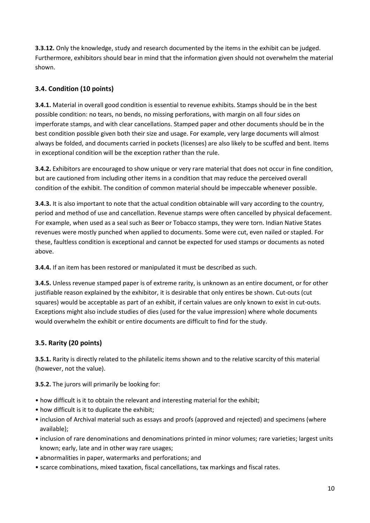**3.3.12.** Only the knowledge, study and research documented by the items in the exhibit can be judged. Furthermore, exhibitors should bear in mind that the information given should not overwhelm the material shown.

## 3.4. Condition (10 points)

3.4.1. Material in overall good condition is essential to revenue exhibits. Stamps should be in the best possible condition: no tears, no bends, no missing perforations, with margin on all four sides on imperforate stamps, and with clear cancellations. Stamped paper and other documents should be in the best condition possible given both their size and usage. For example, very large documents will almost always be folded, and documents carried in pockets (licenses) are also likely to be scuffed and bent. Items in exceptional condition will be the exception rather than the rule.

3.4.2. Exhibitors are encouraged to show unique or very rare material that does not occur in fine condition, but are cautioned from including other items in a condition that may reduce the perceived overall condition of the exhibit. The condition of common material should be impeccable whenever possible.

3.4.3. It is also important to note that the actual condition obtainable will vary according to the country, period and method of use and cancellation. Revenue stamps were often cancelled by physical defacement. For example, when used as a seal such as Beer or Tobacco stamps, they were torn. Indian Native States revenues were mostly punched when applied to documents. Some were cut, even nailed or stapled. For these, faultless condition is exceptional and cannot be expected for used stamps or documents as noted above.

3.4.4. If an item has been restored or manipulated it must be described as such.

3.4.5. Unless revenue stamped paper is of extreme rarity, is unknown as an entire document, or for other justifiable reason explained by the exhibitor, it is desirable that only entires be shown. Cut-outs (cut squares) would be acceptable as part of an exhibit, if certain values are only known to exist in cut-outs. Exceptions might also include studies of dies (used for the value impression) where whole documents would overwhelm the exhibit or entire documents are difficult to find for the study.

#### 3.5. Rarity (20 points)

3.5.1. Rarity is directly related to the philatelic items shown and to the relative scarcity of this material (however, not the value).

3.5.2. The jurors will primarily be looking for:

- how difficult is it to obtain the relevant and interesting material for the exhibit;
- how difficult is it to duplicate the exhibit;
- inclusion of Archival material such as essays and proofs (approved and rejected) and specimens (where available);
- inclusion of rare denominations and denominations printed in minor volumes; rare varieties; largest units known; early, late and in other way rare usages;
- abnormalities in paper, watermarks and perforations; and
- scarce combinations, mixed taxation, fiscal cancellations, tax markings and fiscal rates.